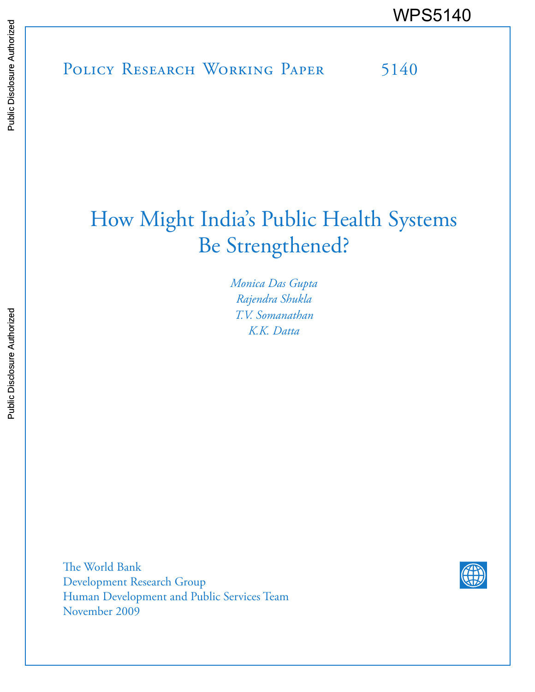POLICY RESEARCH WORKING PAPER 5140 WPS5140<br>
MESSIE<br>
MONICY RESEARCH WORKING PAPER
5140<br>
SERIES 5140

# How Might India's Public Health Systems Be Strengthened?

*Monica Das Gupta Rajendra Shukla T.V. Somanathan K.K. Datta* 

The World Bank Development Research Group Human Development and Public Services Team November 2009

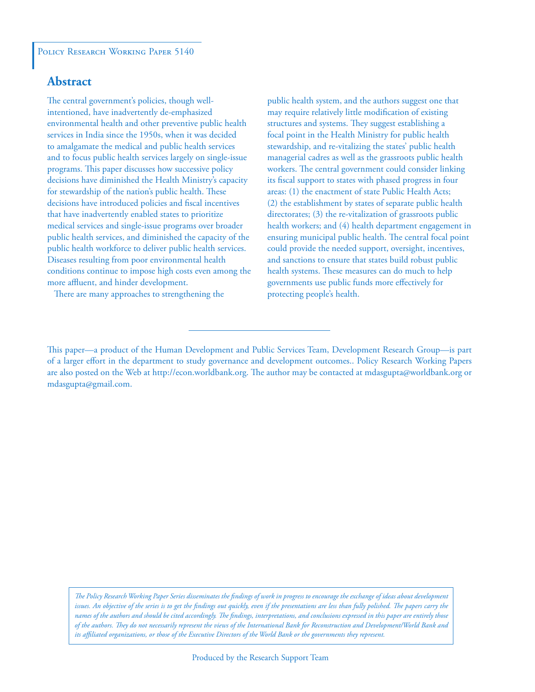## **Abstract**

The central government's policies, though wellintentioned, have inadvertently de-emphasized environmental health and other preventive public health services in India since the 1950s, when it was decided to amalgamate the medical and public health services and to focus public health services largely on single-issue programs. This paper discusses how successive policy decisions have diminished the Health Ministry's capacity for stewardship of the nation's public health. These decisions have introduced policies and fiscal incentives that have inadvertently enabled states to prioritize medical services and single-issue programs over broader public health services, and diminished the capacity of the public health workforce to deliver public health services. Diseases resulting from poor environmental health conditions continue to impose high costs even among the more affluent, and hinder development.

There are many approaches to strengthening the

public health system, and the authors suggest one that may require relatively little modification of existing structures and systems. They suggest establishing a focal point in the Health Ministry for public health stewardship, and re-vitalizing the states' public health managerial cadres as well as the grassroots public health workers. The central government could consider linking its fiscal support to states with phased progress in four areas: (1) the enactment of state Public Health Acts; (2) the establishment by states of separate public health directorates; (3) the re-vitalization of grassroots public health workers; and (4) health department engagement in ensuring municipal public health. The central focal point could provide the needed support, oversight, incentives, and sanctions to ensure that states build robust public health systems. These measures can do much to help governments use public funds more effectively for protecting people's health.

*The Policy Research Working Paper Series disseminates the findings of work in progress to encourage the exchange of ideas about development*  issues. An objective of the series is to get the findings out quickly, even if the presentations are less than fully polished. The papers carry the *names of the authors and should be cited accordingly. The findings, interpretations, and conclusions expressed in this paper are entirely those of the authors. They do not necessarily represent the views of the International Bank for Reconstruction and Development/World Bank and its affiliated organizations, or those of the Executive Directors of the World Bank or the governments they represent.*

This paper—a product of the Human Development and Public Services Team, Development Research Group—is part of a larger effort in the department to study governance and development outcomes.. Policy Research Working Papers are also posted on the Web at http://econ.worldbank.org. The author may be contacted at mdasgupta@worldbank.org or mdasgupta@gmail.com.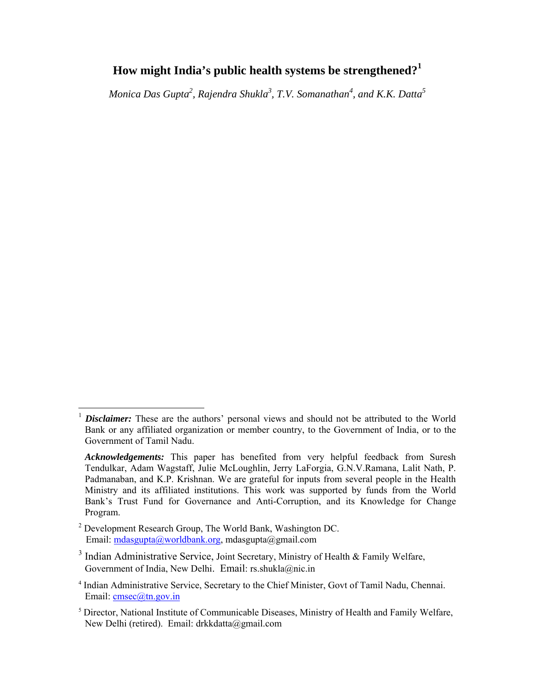## **How might India's public health systems be strengthened?<sup>1</sup>**

*Monica Das Gupta<sup>2</sup> , Rajendra Shukla3 , T.V. Somanathan<sup>4</sup> , and K.K. Datta5*

 $\overline{a}$ 

**Disclaimer:** These are the authors' personal views and should not be attributed to the World Bank or any affiliated organization or member country, to the Government of India, or to the Government of Tamil Nadu.

*Acknowledgements:* This paper has benefited from very helpful feedback from Suresh Tendulkar, Adam Wagstaff, Julie McLoughlin, Jerry LaForgia, G.N.V.Ramana, Lalit Nath, P. Padmanaban, and K.P. Krishnan. We are grateful for inputs from several people in the Health Ministry and its affiliated institutions. This work was supported by funds from the World Bank's Trust Fund for Governance and Anti-Corruption, and its Knowledge for Change Program.

<sup>&</sup>lt;sup>2</sup> Development Research Group, The World Bank, Washington DC. Email: mdasgupta@worldbank.org, mdasgupta@gmail.com

 $3$  Indian Administrative Service, Joint Secretary, Ministry of Health & Family Welfare, Government of India, New Delhi. Email: rs.shukla@nic.in

<sup>4</sup> Indian Administrative Service, Secretary to the Chief Minister, Govt of Tamil Nadu, Chennai. Email: cmsec@tn.gov.in

<sup>&</sup>lt;sup>5</sup> Director, National Institute of Communicable Diseases, Ministry of Health and Family Welfare, New Delhi (retired). Email: drkkdatta@gmail.com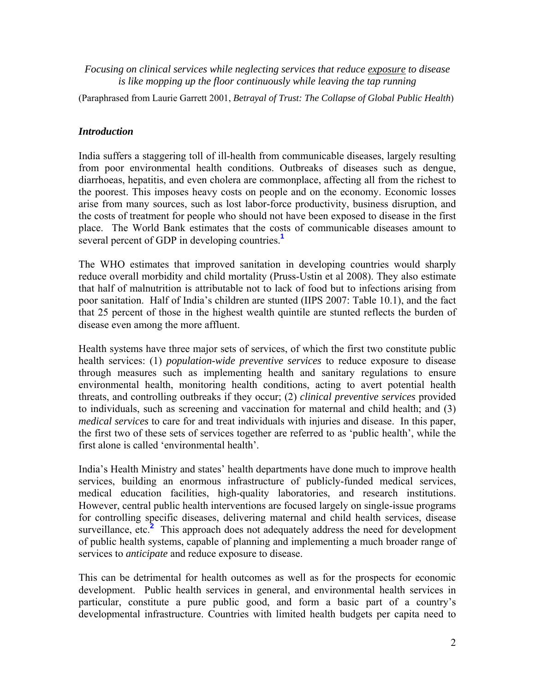*Focusing on clinical services while neglecting services that reduce exposure to disease is like mopping up the floor continuously while leaving the tap running*

(Paraphrased from Laurie Garrett 2001, *Betrayal of Trust: The Collapse of Global Public Health*)

### *Introduction*

India suffers a staggering toll of ill-health from communicable diseases, largely resulting from poor environmental health conditions. Outbreaks of diseases such as dengue, diarrhoeas, hepatitis, and even cholera are commonplace, affecting all from the richest to the poorest. This imposes heavy costs on people and on the economy. Economic losses arise from many sources, such as lost labor-force productivity, business disruption, and the costs of treatment for people who should not have been exposed to disease in the first place. The World Bank estimates that the costs of communicable diseases amount to several percent of GDP in developing countries.**<sup>1</sup>**

The WHO estimates that improved sanitation in developing countries would sharply reduce overall morbidity and child mortality (Pruss-Ustin et al 2008). They also estimate that half of malnutrition is attributable not to lack of food but to infections arising from poor sanitation. Half of India's children are stunted (IIPS 2007: Table 10.1), and the fact that 25 percent of those in the highest wealth quintile are stunted reflects the burden of disease even among the more affluent.

Health systems have three major sets of services, of which the first two constitute public health services: (1) *population-wide preventive services* to reduce exposure to disease through measures such as implementing health and sanitary regulations to ensure environmental health, monitoring health conditions, acting to avert potential health threats, and controlling outbreaks if they occur; (2) *clinical preventive services* provided to individuals, such as screening and vaccination for maternal and child health; and (3) *medical services* to care for and treat individuals with injuries and disease. In this paper, the first two of these sets of services together are referred to as 'public health', while the first alone is called 'environmental health'.

India's Health Ministry and states' health departments have done much to improve health services, building an enormous infrastructure of publicly-funded medical services, medical education facilities, high-quality laboratories, and research institutions. However, central public health interventions are focused largely on single-issue programs for controlling specific diseases, delivering maternal and child health services, disease surveillance, etc.<sup>2</sup> This approach does not adequately address the need for development of public health systems, capable of planning and implementing a much broader range of services to *anticipate* and reduce exposure to disease.

This can be detrimental for health outcomes as well as for the prospects for economic development. Public health services in general, and environmental health services in particular, constitute a pure public good, and form a basic part of a country's developmental infrastructure. Countries with limited health budgets per capita need to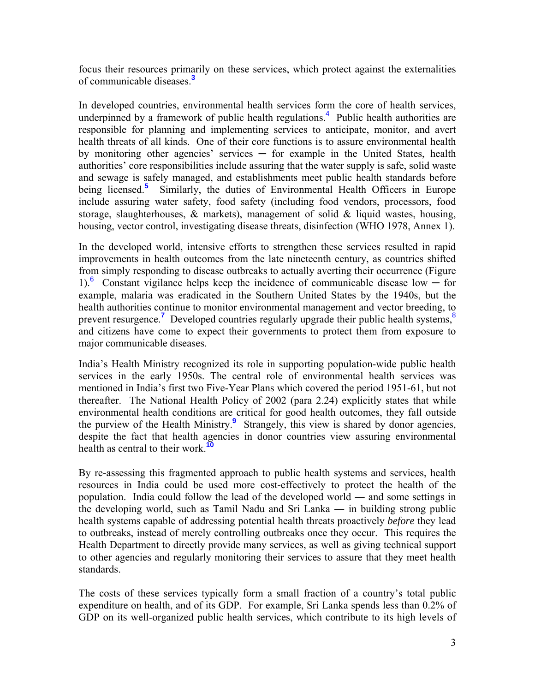focus their resources primarily on these services, which protect against the externalities of communicable diseases.**<sup>3</sup>**

In developed countries, environmental health services form the core of health services, underpinned by a framework of public health regulations.<sup>4</sup> Public health authorities are responsible for planning and implementing services to anticipate, monitor, and avert health threats of all kinds. One of their core functions is to assure environmental health by monitoring other agencies' services  $-$  for example in the United States, health authorities' core responsibilities include assuring that the water supply is safe, solid waste and sewage is safely managed, and establishments meet public health standards before being licensed.<sup>5</sup> Similarly, the duties of Environmental Health Officers in Europe include assuring water safety, food safety (including food vendors, processors, food storage, slaughterhouses,  $\&$  markets), management of solid  $\&$  liquid wastes, housing, housing, vector control, investigating disease threats, disinfection (WHO 1978, Annex 1).

In the developed world, intensive efforts to strengthen these services resulted in rapid improvements in health outcomes from the late nineteenth century, as countries shifted from simply responding to disease outbreaks to actually averting their occurrence (Figure 1).<sup>6</sup> Constant vigilance helps keep the incidence of communicable disease low  $-$  for example, malaria was eradicated in the Southern United States by the 1940s, but the health authorities continue to monitor environmental management and vector breeding, to prevent resurgence.<sup>7</sup> Developed countries regularly upgrade their public health systems,<sup>8</sup> and citizens have come to expect their governments to protect them from exposure to major communicable diseases.

India's Health Ministry recognized its role in supporting population-wide public health services in the early 1950s. The central role of environmental health services was mentioned in India's first two Five-Year Plans which covered the period 1951-61, but not thereafter. The National Health Policy of 2002 (para 2.24) explicitly states that while environmental health conditions are critical for good health outcomes, they fall outside the purview of the Health Ministry.**<sup>9</sup>** Strangely, this view is shared by donor agencies, despite the fact that health agencies in donor countries view assuring environmental health as central to their work.**<sup>10</sup>**

By re-assessing this fragmented approach to public health systems and services, health resources in India could be used more cost-effectively to protect the health of the population. India could follow the lead of the developed world ― and some settings in the developing world, such as Tamil Nadu and Sri Lanka ― in building strong public health systems capable of addressing potential health threats proactively *before* they lead to outbreaks, instead of merely controlling outbreaks once they occur. This requires the Health Department to directly provide many services, as well as giving technical support to other agencies and regularly monitoring their services to assure that they meet health standards.

The costs of these services typically form a small fraction of a country's total public expenditure on health, and of its GDP. For example, Sri Lanka spends less than 0.2% of GDP on its well-organized public health services, which contribute to its high levels of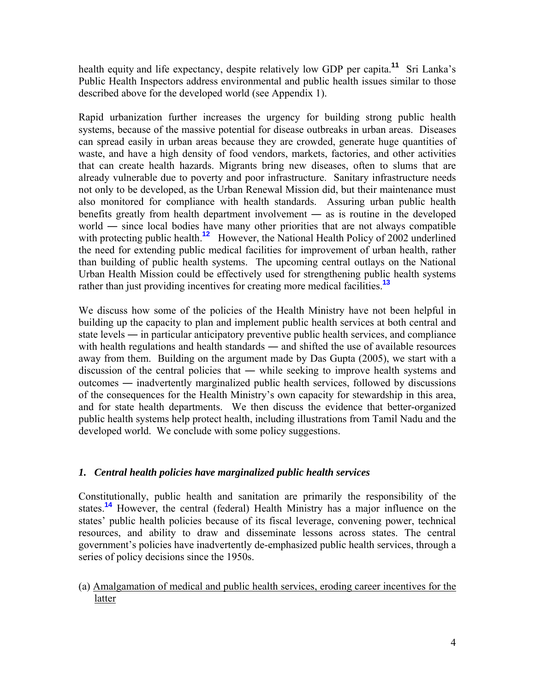health equity and life expectancy, despite relatively low GDP per capita.<sup>11</sup> Sri Lanka's Public Health Inspectors address environmental and public health issues similar to those described above for the developed world (see Appendix 1).

Rapid urbanization further increases the urgency for building strong public health systems, because of the massive potential for disease outbreaks in urban areas. Diseases can spread easily in urban areas because they are crowded, generate huge quantities of waste, and have a high density of food vendors, markets, factories, and other activities that can create health hazards. Migrants bring new diseases, often to slums that are already vulnerable due to poverty and poor infrastructure. Sanitary infrastructure needs not only to be developed, as the Urban Renewal Mission did, but their maintenance must also monitored for compliance with health standards. Assuring urban public health benefits greatly from health department involvement ― as is routine in the developed world — since local bodies have many other priorities that are not always compatible with protecting public health.<sup>12</sup> However, the National Health Policy of 2002 underlined the need for extending public medical facilities for improvement of urban health, rather than building of public health systems. The upcoming central outlays on the National Urban Health Mission could be effectively used for strengthening public health systems rather than just providing incentives for creating more medical facilities.**<sup>13</sup>**

We discuss how some of the policies of the Health Ministry have not been helpful in building up the capacity to plan and implement public health services at both central and state levels ― in particular anticipatory preventive public health services, and compliance with health regulations and health standards — and shifted the use of available resources away from them. Building on the argument made by Das Gupta (2005), we start with a discussion of the central policies that ― while seeking to improve health systems and outcomes ― inadvertently marginalized public health services, followed by discussions of the consequences for the Health Ministry's own capacity for stewardship in this area, and for state health departments. We then discuss the evidence that better-organized public health systems help protect health, including illustrations from Tamil Nadu and the developed world. We conclude with some policy suggestions.

## *1. Central health policies have marginalized public health services*

Constitutionally, public health and sanitation are primarily the responsibility of the states.**<sup>14</sup>** However, the central (federal) Health Ministry has a major influence on the states' public health policies because of its fiscal leverage, convening power, technical resources, and ability to draw and disseminate lessons across states. The central government's policies have inadvertently de-emphasized public health services, through a series of policy decisions since the 1950s.

(a) Amalgamation of medical and public health services, eroding career incentives for the latter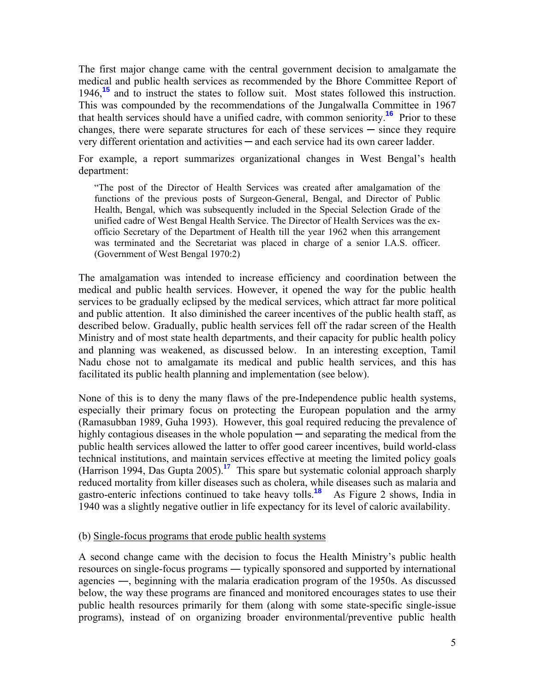The first major change came with the central government decision to amalgamate the medical and public health services as recommended by the Bhore Committee Report of 1946,**<sup>15</sup>** and to instruct the states to follow suit. Most states followed this instruction. This was compounded by the recommendations of the Jungalwalla Committee in 1967 that health services should have a unified cadre, with common seniority.**<sup>16</sup>** Prior to these changes, there were separate structures for each of these services  $-$  since they require very different orientation and activities ─ and each service had its own career ladder.

For example, a report summarizes organizational changes in West Bengal's health department:

"The post of the Director of Health Services was created after amalgamation of the functions of the previous posts of Surgeon-General, Bengal, and Director of Public Health, Bengal, which was subsequently included in the Special Selection Grade of the unified cadre of West Bengal Health Service. The Director of Health Services was the exofficio Secretary of the Department of Health till the year 1962 when this arrangement was terminated and the Secretariat was placed in charge of a senior I.A.S. officer. (Government of West Bengal 1970:2)

The amalgamation was intended to increase efficiency and coordination between the medical and public health services. However, it opened the way for the public health services to be gradually eclipsed by the medical services, which attract far more political and public attention. It also diminished the career incentives of the public health staff, as described below. Gradually, public health services fell off the radar screen of the Health Ministry and of most state health departments, and their capacity for public health policy and planning was weakened, as discussed below. In an interesting exception, Tamil Nadu chose not to amalgamate its medical and public health services, and this has facilitated its public health planning and implementation (see below).

None of this is to deny the many flaws of the pre-Independence public health systems, especially their primary focus on protecting the European population and the army (Ramasubban 1989, Guha 1993). However, this goal required reducing the prevalence of highly contagious diseases in the whole population — and separating the medical from the public health services allowed the latter to offer good career incentives, build world-class technical institutions, and maintain services effective at meeting the limited policy goals (Harrison 1994, Das Gupta 2005).**<sup>17</sup>** This spare but systematic colonial approach sharply reduced mortality from killer diseases such as cholera, while diseases such as malaria and gastro-enteric infections continued to take heavy tolls.**<sup>18</sup>** As Figure 2 shows, India in 1940 was a slightly negative outlier in life expectancy for its level of caloric availability.

#### (b) Single-focus programs that erode public health systems

A second change came with the decision to focus the Health Ministry's public health resources on single-focus programs ― typically sponsored and supported by international agencies ―, beginning with the malaria eradication program of the 1950s. As discussed below, the way these programs are financed and monitored encourages states to use their public health resources primarily for them (along with some state-specific single-issue programs), instead of on organizing broader environmental/preventive public health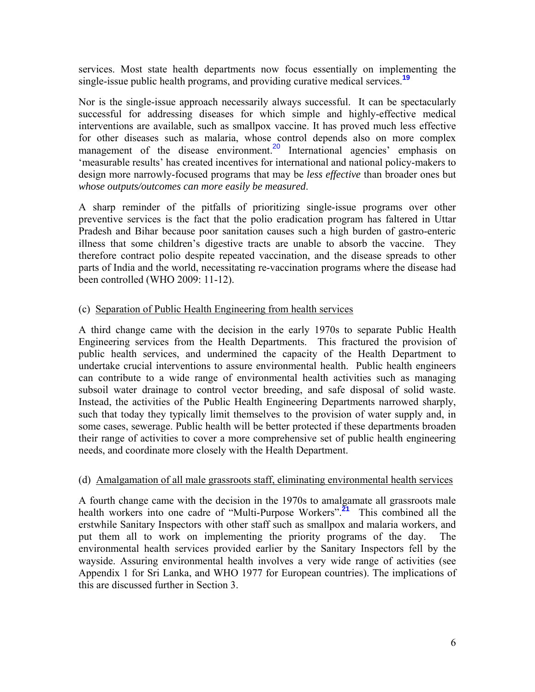services. Most state health departments now focus essentially on implementing the single-issue public health programs, and providing curative medical services.**<sup>19</sup>**

Nor is the single-issue approach necessarily always successful. It can be spectacularly successful for addressing diseases for which simple and highly-effective medical interventions are available, such as smallpox vaccine. It has proved much less effective for other diseases such as malaria, whose control depends also on more complex management of the disease environment.<sup>20</sup> International agencies' emphasis on 'measurable results' has created incentives for international and national policy-makers to design more narrowly-focused programs that may be *less effective* than broader ones but *whose outputs/outcomes can more easily be measured*.

A sharp reminder of the pitfalls of prioritizing single-issue programs over other preventive services is the fact that the polio eradication program has faltered in Uttar Pradesh and Bihar because poor sanitation causes such a high burden of gastro-enteric illness that some children's digestive tracts are unable to absorb the vaccine. They therefore contract polio despite repeated vaccination, and the disease spreads to other parts of India and the world, necessitating re-vaccination programs where the disease had been controlled (WHO 2009: 11-12).

### (c) Separation of Public Health Engineering from health services

A third change came with the decision in the early 1970s to separate Public Health Engineering services from the Health Departments. This fractured the provision of public health services, and undermined the capacity of the Health Department to undertake crucial interventions to assure environmental health. Public health engineers can contribute to a wide range of environmental health activities such as managing subsoil water drainage to control vector breeding, and safe disposal of solid waste. Instead, the activities of the Public Health Engineering Departments narrowed sharply, such that today they typically limit themselves to the provision of water supply and, in some cases, sewerage. Public health will be better protected if these departments broaden their range of activities to cover a more comprehensive set of public health engineering needs, and coordinate more closely with the Health Department.

## (d) Amalgamation of all male grassroots staff, eliminating environmental health services

A fourth change came with the decision in the 1970s to amalgamate all grassroots male health workers into one cadre of "Multi-Purpose Workers".**<sup>21</sup>** This combined all the erstwhile Sanitary Inspectors with other staff such as smallpox and malaria workers, and put them all to work on implementing the priority programs of the day. The environmental health services provided earlier by the Sanitary Inspectors fell by the wayside. Assuring environmental health involves a very wide range of activities (see Appendix 1 for Sri Lanka, and WHO 1977 for European countries). The implications of this are discussed further in Section 3.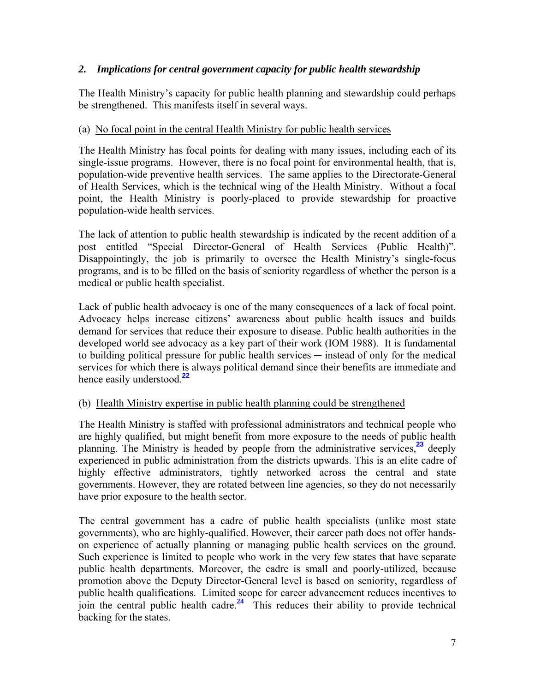## *2. Implications for central government capacity for public health stewardship*

The Health Ministry's capacity for public health planning and stewardship could perhaps be strengthened. This manifests itself in several ways.

## (a) No focal point in the central Health Ministry for public health services

The Health Ministry has focal points for dealing with many issues, including each of its single-issue programs. However, there is no focal point for environmental health, that is, population-wide preventive health services. The same applies to the Directorate-General of Health Services, which is the technical wing of the Health Ministry. Without a focal point, the Health Ministry is poorly-placed to provide stewardship for proactive population-wide health services.

The lack of attention to public health stewardship is indicated by the recent addition of a post entitled "Special Director-General of Health Services (Public Health)". Disappointingly, the job is primarily to oversee the Health Ministry's single-focus programs, and is to be filled on the basis of seniority regardless of whether the person is a medical or public health specialist.

Lack of public health advocacy is one of the many consequences of a lack of focal point. Advocacy helps increase citizens' awareness about public health issues and builds demand for services that reduce their exposure to disease. Public health authorities in the developed world see advocacy as a key part of their work (IOM 1988). It is fundamental to building political pressure for public health services ─ instead of only for the medical services for which there is always political demand since their benefits are immediate and hence easily understood.**<sup>22</sup>**

## (b) Health Ministry expertise in public health planning could be strengthened

The Health Ministry is staffed with professional administrators and technical people who are highly qualified, but might benefit from more exposure to the needs of public health planning. The Ministry is headed by people from the administrative services,**<sup>23</sup>** deeply experienced in public administration from the districts upwards. This is an elite cadre of highly effective administrators, tightly networked across the central and state governments. However, they are rotated between line agencies, so they do not necessarily have prior exposure to the health sector.

The central government has a cadre of public health specialists (unlike most state governments), who are highly-qualified. However, their career path does not offer handson experience of actually planning or managing public health services on the ground. Such experience is limited to people who work in the very few states that have separate public health departments. Moreover, the cadre is small and poorly-utilized, because promotion above the Deputy Director-General level is based on seniority, regardless of public health qualifications. Limited scope for career advancement reduces incentives to join the central public health cadre.**<sup>24</sup>** This reduces their ability to provide technical backing for the states.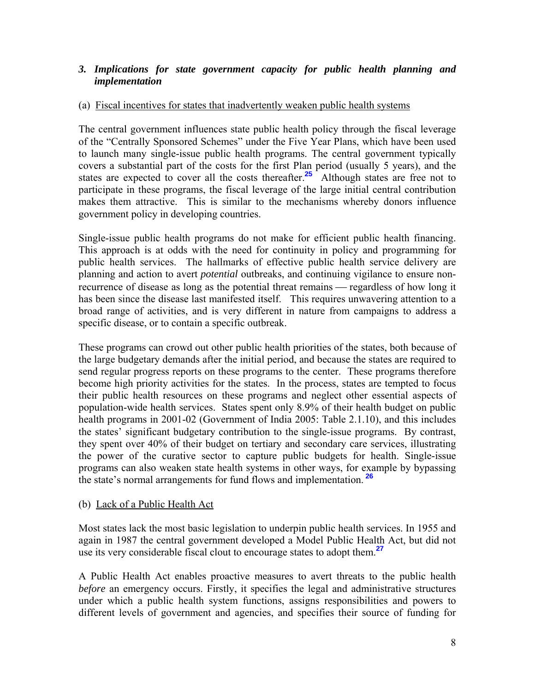## *3. Implications for state government capacity for public health planning and implementation*

### (a) Fiscal incentives for states that inadvertently weaken public health systems

The central government influences state public health policy through the fiscal leverage of the "Centrally Sponsored Schemes" under the Five Year Plans, which have been used to launch many single-issue public health programs. The central government typically covers a substantial part of the costs for the first Plan period (usually 5 years), and the states are expected to cover all the costs thereafter.**<sup>25</sup>** Although states are free not to participate in these programs, the fiscal leverage of the large initial central contribution makes them attractive. This is similar to the mechanisms whereby donors influence government policy in developing countries.

Single-issue public health programs do not make for efficient public health financing. This approach is at odds with the need for continuity in policy and programming for public health services. The hallmarks of effective public health service delivery are planning and action to avert *potential* outbreaks, and continuing vigilance to ensure nonrecurrence of disease as long as the potential threat remains — regardless of how long it has been since the disease last manifested itself. This requires unwavering attention to a broad range of activities, and is very different in nature from campaigns to address a specific disease, or to contain a specific outbreak.

These programs can crowd out other public health priorities of the states, both because of the large budgetary demands after the initial period, and because the states are required to send regular progress reports on these programs to the center. These programs therefore become high priority activities for the states. In the process, states are tempted to focus their public health resources on these programs and neglect other essential aspects of population-wide health services. States spent only 8.9% of their health budget on public health programs in 2001-02 (Government of India 2005: Table 2.1.10), and this includes the states' significant budgetary contribution to the single-issue programs. By contrast, they spent over 40% of their budget on tertiary and secondary care services, illustrating the power of the curative sector to capture public budgets for health. Single-issue programs can also weaken state health systems in other ways, for example by bypassing the state's normal arrangements for fund flows and implementation.**<sup>26</sup>**

## (b) Lack of a Public Health Act

Most states lack the most basic legislation to underpin public health services. In 1955 and again in 1987 the central government developed a Model Public Health Act, but did not use its very considerable fiscal clout to encourage states to adopt them.**<sup>27</sup>**

A Public Health Act enables proactive measures to avert threats to the public health *before* an emergency occurs. Firstly, it specifies the legal and administrative structures under which a public health system functions, assigns responsibilities and powers to different levels of government and agencies, and specifies their source of funding for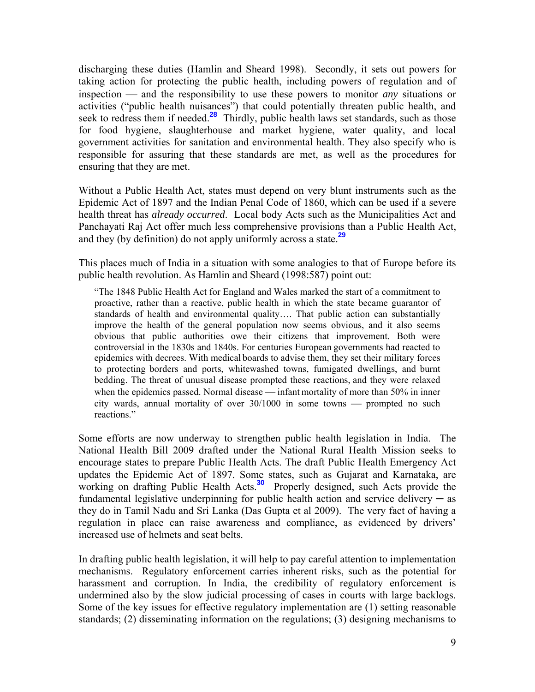discharging these duties (Hamlin and Sheard 1998). Secondly, it sets out powers for taking action for protecting the public health, including powers of regulation and of inspection — and the responsibility to use these powers to monitor *any* situations or activities ("public health nuisances") that could potentially threaten public health, and seek to redress them if needed.<sup>28</sup> Thirdly, public health laws set standards, such as those for food hygiene, slaughterhouse and market hygiene, water quality, and local government activities for sanitation and environmental health. They also specify who is responsible for assuring that these standards are met, as well as the procedures for ensuring that they are met.

Without a Public Health Act, states must depend on very blunt instruments such as the Epidemic Act of 1897 and the Indian Penal Code of 1860, which can be used if a severe health threat has *already occurred*. Local body Acts such as the Municipalities Act and Panchayati Raj Act offer much less comprehensive provisions than a Public Health Act, and they (by definition) do not apply uniformly across a state.**<sup>29</sup>**

This places much of India in a situation with some analogies to that of Europe before its public health revolution. As Hamlin and Sheard (1998:587) point out:

"The 1848 Public Health Act for England and Wales marked the start of a commitment to proactive, rather than a reactive, public health in which the state became guarantor of standards of health and environmental quality…. That public action can substantially improve the health of the general population now seems obvious, and it also seems obvious that public authorities owe their citizens that improvement. Both were controversial in the 1830s and 1840s. For centuries European governments had reacted to epidemics with decrees. With medical boards to advise them, they set their military forces to protecting borders and ports, whitewashed towns, fumigated dwellings, and burnt bedding. The threat of unusual disease prompted these reactions, and they were relaxed when the epidemics passed. Normal disease  $\frac{ }{ }$  infant mortality of more than 50% in inner city wards, annual mortality of over  $30/1000$  in some towns — prompted no such reactions."

Some efforts are now underway to strengthen public health legislation in India. The National Health Bill 2009 drafted under the National Rural Health Mission seeks to encourage states to prepare Public Health Acts. The draft Public Health Emergency Act updates the Epidemic Act of 1897. Some states, such as Gujarat and Karnataka, are working on drafting Public Health Acts.**<sup>30</sup>** Properly designed, such Acts provide the fundamental legislative underpinning for public health action and service delivery  $-$  as they do in Tamil Nadu and Sri Lanka (Das Gupta et al 2009). The very fact of having a regulation in place can raise awareness and compliance, as evidenced by drivers' increased use of helmets and seat belts.

In drafting public health legislation, it will help to pay careful attention to implementation mechanisms. Regulatory enforcement carries inherent risks, such as the potential for harassment and corruption. In India, the credibility of regulatory enforcement is undermined also by the slow judicial processing of cases in courts with large backlogs. Some of the key issues for effective regulatory implementation are (1) setting reasonable standards; (2) disseminating information on the regulations; (3) designing mechanisms to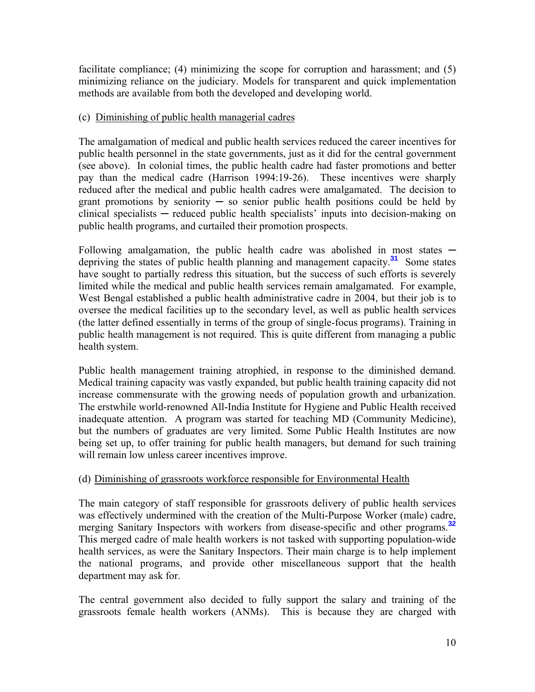facilitate compliance; (4) minimizing the scope for corruption and harassment; and (5) minimizing reliance on the judiciary. Models for transparent and quick implementation methods are available from both the developed and developing world.

## (c) Diminishing of public health managerial cadres

The amalgamation of medical and public health services reduced the career incentives for public health personnel in the state governments, just as it did for the central government (see above). In colonial times, the public health cadre had faster promotions and better pay than the medical cadre (Harrison 1994:19-26). These incentives were sharply reduced after the medical and public health cadres were amalgamated. The decision to grant promotions by seniority  $-$  so senior public health positions could be held by clinical specialists ─ reduced public health specialists' inputs into decision-making on public health programs, and curtailed their promotion prospects.

Following amalgamation, the public health cadre was abolished in most states  $$ depriving the states of public health planning and management capacity.**<sup>31</sup>** Some states have sought to partially redress this situation, but the success of such efforts is severely limited while the medical and public health services remain amalgamated. For example, West Bengal established a public health administrative cadre in 2004, but their job is to oversee the medical facilities up to the secondary level, as well as public health services (the latter defined essentially in terms of the group of single-focus programs). Training in public health management is not required. This is quite different from managing a public health system.

Public health management training atrophied, in response to the diminished demand. Medical training capacity was vastly expanded, but public health training capacity did not increase commensurate with the growing needs of population growth and urbanization. The erstwhile world-renowned All-India Institute for Hygiene and Public Health received inadequate attention. A program was started for teaching MD (Community Medicine), but the numbers of graduates are very limited. Some Public Health Institutes are now being set up, to offer training for public health managers, but demand for such training will remain low unless career incentives improve.

## (d) Diminishing of grassroots workforce responsible for Environmental Health

The main category of staff responsible for grassroots delivery of public health services was effectively undermined with the creation of the Multi-Purpose Worker (male) cadre, merging Sanitary Inspectors with workers from disease-specific and other programs.**<sup>32</sup>** This merged cadre of male health workers is not tasked with supporting population-wide health services, as were the Sanitary Inspectors. Their main charge is to help implement the national programs, and provide other miscellaneous support that the health department may ask for.

The central government also decided to fully support the salary and training of the grassroots female health workers (ANMs). This is because they are charged with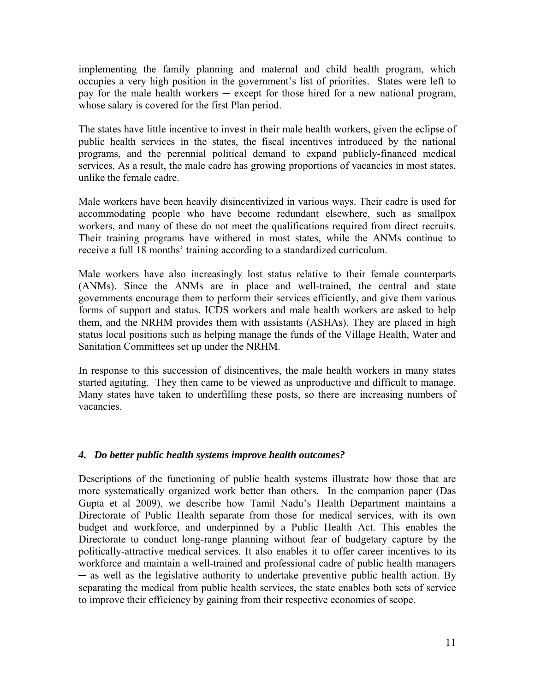implementing the family planning and maternal and child health program, which occupies a very high position in the government's list of priorities. States were left to pay for the male health workers ─ except for those hired for a new national program, whose salary is covered for the first Plan period.

The states have little incentive to invest in their male health workers, given the eclipse of public health services in the states, the fiscal incentives introduced by the national programs, and the perennial political demand to expand publicly-financed medical services. As a result, the male cadre has growing proportions of vacancies in most states, unlike the female cadre.

Male workers have been heavily disincentivized in various ways. Their cadre is used for accommodating people who have become redundant elsewhere, such as smallpox workers, and many of these do not meet the qualifications required from direct recruits. Their training programs have withered in most states, while the ANMs continue to receive a full 18 months' training according to a standardized curriculum.

Male workers have also increasingly lost status relative to their female counterparts (ANMs). Since the ANMs are in place and well-trained, the central and state governments encourage them to perform their services efficiently, and give them various forms of support and status. ICDS workers and male health workers are asked to help them, and the NRHM provides them with assistants (ASHAs). They are placed in high status local positions such as helping manage the funds of the Village Health, Water and Sanitation Committees set up under the NRHM.

In response to this succession of disincentives, the male health workers in many states started agitating. They then came to be viewed as unproductive and difficult to manage. Many states have taken to underfilling these posts, so there are increasing numbers of vacancies.

#### *4. Do better public health systems improve health outcomes?*

Descriptions of the functioning of public health systems illustrate how those that are more systematically organized work better than others. In the companion paper (Das Gupta et al 2009), we describe how Tamil Nadu's Health Department maintains a Directorate of Public Health separate from those for medical services, with its own budget and workforce, and underpinned by a Public Health Act. This enables the Directorate to conduct long-range planning without fear of budgetary capture by the politically-attractive medical services. It also enables it to offer career incentives to its workforce and maintain a well-trained and professional cadre of public health managers ─ as well as the legislative authority to undertake preventive public health action. By separating the medical from public health services, the state enables both sets of service to improve their efficiency by gaining from their respective economies of scope.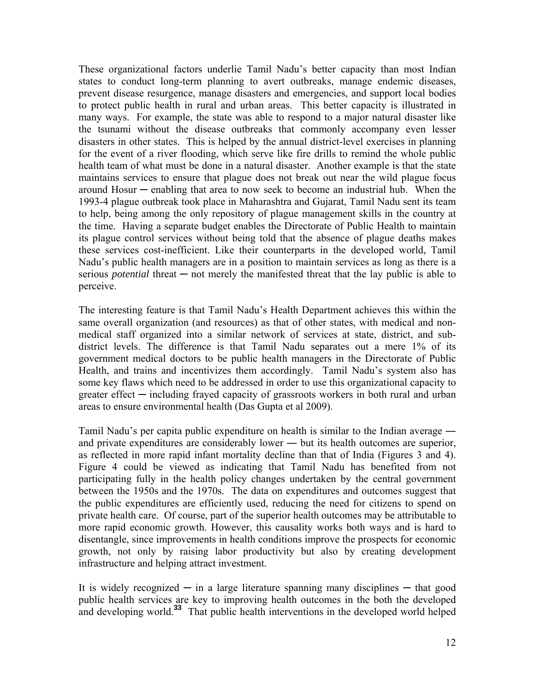These organizational factors underlie Tamil Nadu's better capacity than most Indian states to conduct long-term planning to avert outbreaks, manage endemic diseases, prevent disease resurgence, manage disasters and emergencies, and support local bodies to protect public health in rural and urban areas. This better capacity is illustrated in many ways. For example, the state was able to respond to a major natural disaster like the tsunami without the disease outbreaks that commonly accompany even lesser disasters in other states. This is helped by the annual district-level exercises in planning for the event of a river flooding, which serve like fire drills to remind the whole public health team of what must be done in a natural disaster. Another example is that the state maintains services to ensure that plague does not break out near the wild plague focus around Hosur ─ enabling that area to now seek to become an industrial hub. When the 1993-4 plague outbreak took place in Maharashtra and Gujarat, Tamil Nadu sent its team to help, being among the only repository of plague management skills in the country at the time. Having a separate budget enables the Directorate of Public Health to maintain its plague control services without being told that the absence of plague deaths makes these services cost-inefficient. Like their counterparts in the developed world, Tamil Nadu's public health managers are in a position to maintain services as long as there is a serious *potential* threat — not merely the manifested threat that the lay public is able to perceive.

The interesting feature is that Tamil Nadu's Health Department achieves this within the same overall organization (and resources) as that of other states, with medical and nonmedical staff organized into a similar network of services at state, district, and subdistrict levels. The difference is that Tamil Nadu separates out a mere 1% of its government medical doctors to be public health managers in the Directorate of Public Health, and trains and incentivizes them accordingly. Tamil Nadu's system also has some key flaws which need to be addressed in order to use this organizational capacity to greater effect ─ including frayed capacity of grassroots workers in both rural and urban areas to ensure environmental health (Das Gupta et al 2009).

Tamil Nadu's per capita public expenditure on health is similar to the Indian average ― and private expenditures are considerably lower ― but its health outcomes are superior, as reflected in more rapid infant mortality decline than that of India (Figures 3 and 4). Figure 4 could be viewed as indicating that Tamil Nadu has benefited from not participating fully in the health policy changes undertaken by the central government between the 1950s and the 1970s. The data on expenditures and outcomes suggest that the public expenditures are efficiently used, reducing the need for citizens to spend on private health care. Of course, part of the superior health outcomes may be attributable to more rapid economic growth. However, this causality works both ways and is hard to disentangle, since improvements in health conditions improve the prospects for economic growth, not only by raising labor productivity but also by creating development infrastructure and helping attract investment.

It is widely recognized  $\overline{\phantom{a}}$  in a large literature spanning many disciplines  $\overline{\phantom{a}}$  that good public health services are key to improving health outcomes in the both the developed and developing world.**<sup>33</sup>** That public health interventions in the developed world helped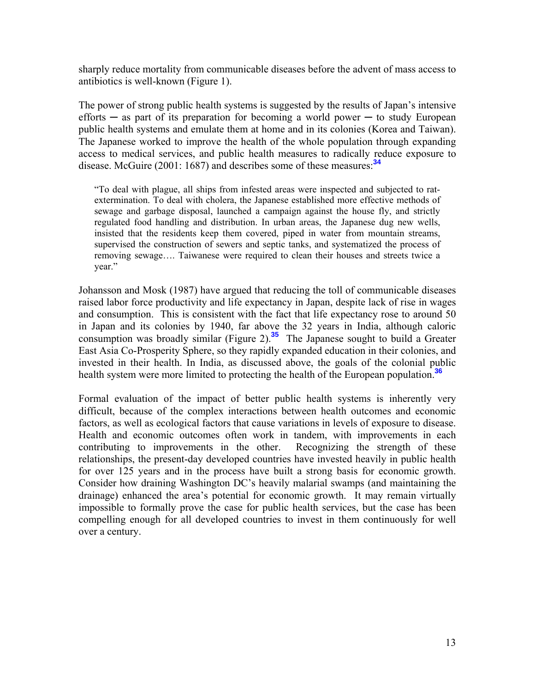sharply reduce mortality from communicable diseases before the advent of mass access to antibiotics is well-known (Figure 1).

The power of strong public health systems is suggested by the results of Japan's intensive efforts  $-$  as part of its preparation for becoming a world power  $-$  to study European public health systems and emulate them at home and in its colonies (Korea and Taiwan). The Japanese worked to improve the health of the whole population through expanding access to medical services, and public health measures to radically reduce exposure to disease. McGuire (2001: 1687) and describes some of these measures:**<sup>34</sup>**

"To deal with plague, all ships from infested areas were inspected and subjected to ratextermination. To deal with cholera, the Japanese established more effective methods of sewage and garbage disposal, launched a campaign against the house fly, and strictly regulated food handling and distribution. In urban areas, the Japanese dug new wells, insisted that the residents keep them covered, piped in water from mountain streams, supervised the construction of sewers and septic tanks, and systematized the process of removing sewage…. Taiwanese were required to clean their houses and streets twice a year."

Johansson and Mosk (1987) have argued that reducing the toll of communicable diseases raised labor force productivity and life expectancy in Japan, despite lack of rise in wages and consumption. This is consistent with the fact that life expectancy rose to around 50 in Japan and its colonies by 1940, far above the 32 years in India, although caloric consumption was broadly similar (Figure 2).**<sup>35</sup>** The Japanese sought to build a Greater East Asia Co-Prosperity Sphere, so they rapidly expanded education in their colonies, and invested in their health. In India, as discussed above, the goals of the colonial public health system were more limited to protecting the health of the European population.**<sup>36</sup>**

Formal evaluation of the impact of better public health systems is inherently very difficult, because of the complex interactions between health outcomes and economic factors, as well as ecological factors that cause variations in levels of exposure to disease. Health and economic outcomes often work in tandem, with improvements in each contributing to improvements in the other. Recognizing the strength of these relationships, the present-day developed countries have invested heavily in public health for over 125 years and in the process have built a strong basis for economic growth. Consider how draining Washington DC's heavily malarial swamps (and maintaining the drainage) enhanced the area's potential for economic growth. It may remain virtually impossible to formally prove the case for public health services, but the case has been compelling enough for all developed countries to invest in them continuously for well over a century.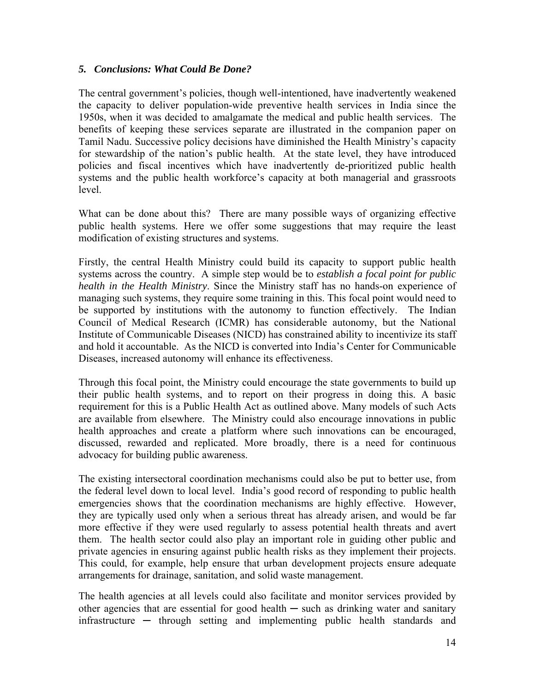### *5. Conclusions: What Could Be Done?*

The central government's policies, though well-intentioned, have inadvertently weakened the capacity to deliver population-wide preventive health services in India since the 1950s, when it was decided to amalgamate the medical and public health services. The benefits of keeping these services separate are illustrated in the companion paper on Tamil Nadu. Successive policy decisions have diminished the Health Ministry's capacity for stewardship of the nation's public health. At the state level, they have introduced policies and fiscal incentives which have inadvertently de-prioritized public health systems and the public health workforce's capacity at both managerial and grassroots level.

What can be done about this? There are many possible ways of organizing effective public health systems. Here we offer some suggestions that may require the least modification of existing structures and systems.

Firstly, the central Health Ministry could build its capacity to support public health systems across the country. A simple step would be to *establish a focal point for public health in the Health Ministry*. Since the Ministry staff has no hands-on experience of managing such systems, they require some training in this. This focal point would need to be supported by institutions with the autonomy to function effectively. The Indian Council of Medical Research (ICMR) has considerable autonomy, but the National Institute of Communicable Diseases (NICD) has constrained ability to incentivize its staff and hold it accountable. As the NICD is converted into India's Center for Communicable Diseases, increased autonomy will enhance its effectiveness.

Through this focal point, the Ministry could encourage the state governments to build up their public health systems, and to report on their progress in doing this. A basic requirement for this is a Public Health Act as outlined above. Many models of such Acts are available from elsewhere. The Ministry could also encourage innovations in public health approaches and create a platform where such innovations can be encouraged, discussed, rewarded and replicated. More broadly, there is a need for continuous advocacy for building public awareness.

The existing intersectoral coordination mechanisms could also be put to better use, from the federal level down to local level. India's good record of responding to public health emergencies shows that the coordination mechanisms are highly effective. However, they are typically used only when a serious threat has already arisen, and would be far more effective if they were used regularly to assess potential health threats and avert them. The health sector could also play an important role in guiding other public and private agencies in ensuring against public health risks as they implement their projects. This could, for example, help ensure that urban development projects ensure adequate arrangements for drainage, sanitation, and solid waste management.

The health agencies at all levels could also facilitate and monitor services provided by other agencies that are essential for good health  $-$  such as drinking water and sanitary  $infrastructure$   $-$  through setting and implementing public health standards and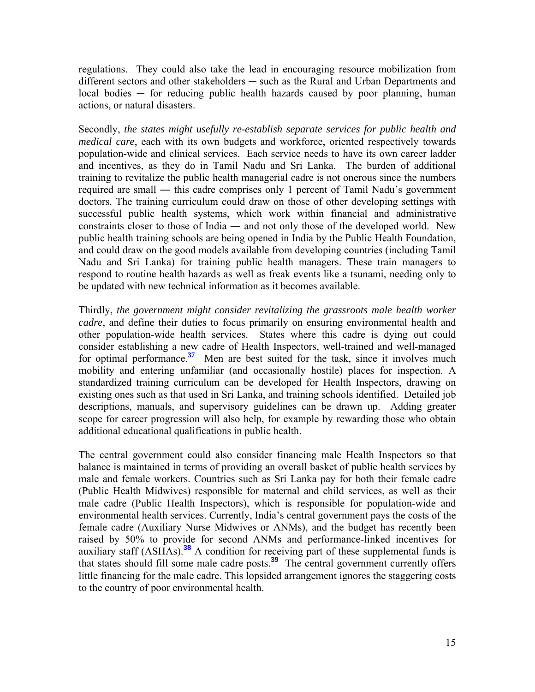regulations. They could also take the lead in encouraging resource mobilization from different sectors and other stakeholders — such as the Rural and Urban Departments and  $local bodies - for reducing public health hazards caused by poor planning, human$ actions, or natural disasters.

Secondly, *the states might usefully re-establish separate services for public health and medical care*, each with its own budgets and workforce, oriented respectively towards population-wide and clinical services. Each service needs to have its own career ladder and incentives, as they do in Tamil Nadu and Sri Lanka. The burden of additional training to revitalize the public health managerial cadre is not onerous since the numbers required are small ― this cadre comprises only 1 percent of Tamil Nadu's government doctors. The training curriculum could draw on those of other developing settings with successful public health systems, which work within financial and administrative constraints closer to those of India ― and not only those of the developed world. New public health training schools are being opened in India by the Public Health Foundation, and could draw on the good models available from developing countries (including Tamil Nadu and Sri Lanka) for training public health managers. These train managers to respond to routine health hazards as well as freak events like a tsunami, needing only to be updated with new technical information as it becomes available.

Thirdly, *the government might consider revitalizing the grassroots male health worker cadre*, and define their duties to focus primarily on ensuring environmental health and other population-wide health services. States where this cadre is dying out could consider establishing a new cadre of Health Inspectors, well-trained and well-managed for optimal performance.<sup>37</sup> Men are best suited for the task, since it involves much mobility and entering unfamiliar (and occasionally hostile) places for inspection. A standardized training curriculum can be developed for Health Inspectors, drawing on existing ones such as that used in Sri Lanka, and training schools identified. Detailed job descriptions, manuals, and supervisory guidelines can be drawn up. Adding greater scope for career progression will also help, for example by rewarding those who obtain additional educational qualifications in public health.

The central government could also consider financing male Health Inspectors so that balance is maintained in terms of providing an overall basket of public health services by male and female workers. Countries such as Sri Lanka pay for both their female cadre (Public Health Midwives) responsible for maternal and child services, as well as their male cadre (Public Health Inspectors), which is responsible for population-wide and environmental health services. Currently, India's central government pays the costs of the female cadre (Auxiliary Nurse Midwives or ANMs), and the budget has recently been raised by 50% to provide for second ANMs and performance-linked incentives for auxiliary staff (ASHAs).**<sup>38</sup>** A condition for receiving part of these supplemental funds is that states should fill some male cadre posts.**<sup>39</sup>** The central government currently offers little financing for the male cadre. This lopsided arrangement ignores the staggering costs to the country of poor environmental health.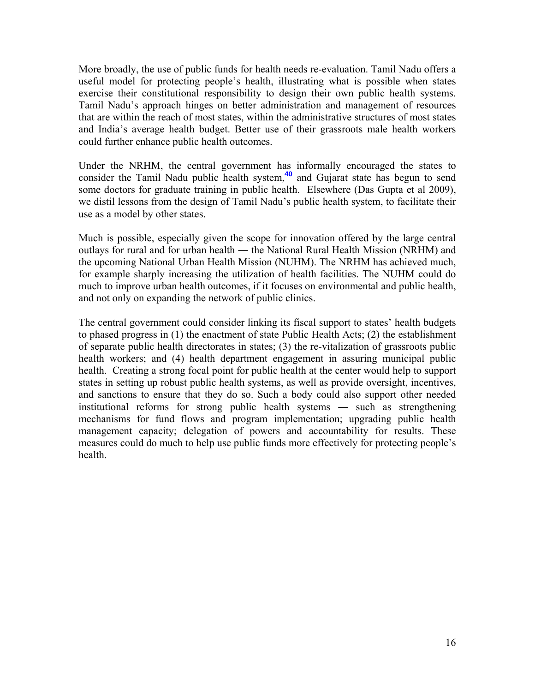More broadly, the use of public funds for health needs re-evaluation. Tamil Nadu offers a useful model for protecting people's health, illustrating what is possible when states exercise their constitutional responsibility to design their own public health systems. Tamil Nadu's approach hinges on better administration and management of resources that are within the reach of most states, within the administrative structures of most states and India's average health budget. Better use of their grassroots male health workers could further enhance public health outcomes.

Under the NRHM, the central government has informally encouraged the states to consider the Tamil Nadu public health system,**<sup>40</sup>** and Gujarat state has begun to send some doctors for graduate training in public health. Elsewhere (Das Gupta et al 2009), we distil lessons from the design of Tamil Nadu's public health system, to facilitate their use as a model by other states.

Much is possible, especially given the scope for innovation offered by the large central outlays for rural and for urban health ― the National Rural Health Mission (NRHM) and the upcoming National Urban Health Mission (NUHM). The NRHM has achieved much, for example sharply increasing the utilization of health facilities. The NUHM could do much to improve urban health outcomes, if it focuses on environmental and public health, and not only on expanding the network of public clinics.

The central government could consider linking its fiscal support to states' health budgets to phased progress in (1) the enactment of state Public Health Acts; (2) the establishment of separate public health directorates in states; (3) the re-vitalization of grassroots public health workers; and (4) health department engagement in assuring municipal public health. Creating a strong focal point for public health at the center would help to support states in setting up robust public health systems, as well as provide oversight, incentives, and sanctions to ensure that they do so. Such a body could also support other needed institutional reforms for strong public health systems ― such as strengthening mechanisms for fund flows and program implementation; upgrading public health management capacity; delegation of powers and accountability for results. These measures could do much to help use public funds more effectively for protecting people's health.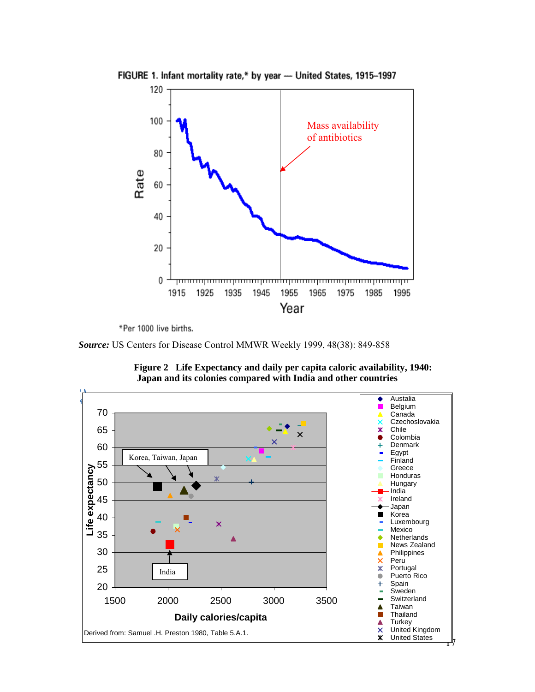

FIGURE 1. Infant mortality rate,\* by year - United States, 1915-1997

\*Per 1000 live births.

*Source:* US Centers for Disease Control MMWR Weekly 1999, 48(38): 849-858



**Figure 2 Life Expectancy and daily per capita caloric availability, 1940: Japan and its colonies compared with India and other countries**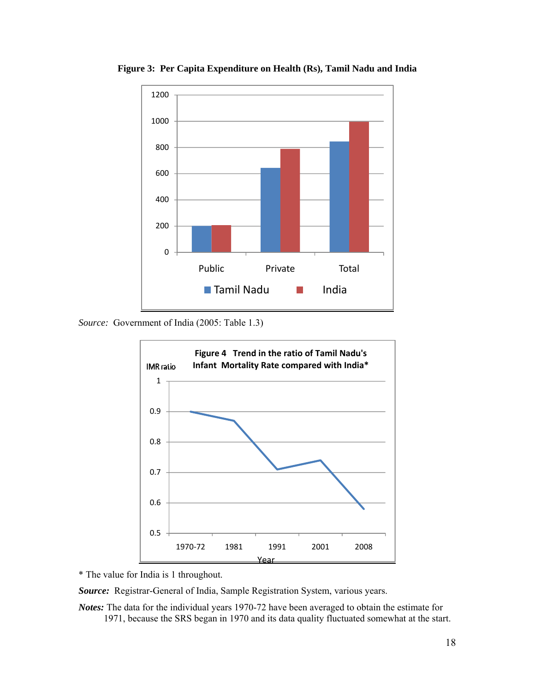

**Figure 3: Per Capita Expenditure on Health (Rs), Tamil Nadu and India** 

*Source:* Government of India (2005: Table 1.3)



\* The value for India is 1 throughout.

*Source:* Registrar-General of India, Sample Registration System, various years.

*Notes:* The data for the individual years 1970-72 have been averaged to obtain the estimate for 1971, because the SRS began in 1970 and its data quality fluctuated somewhat at the start.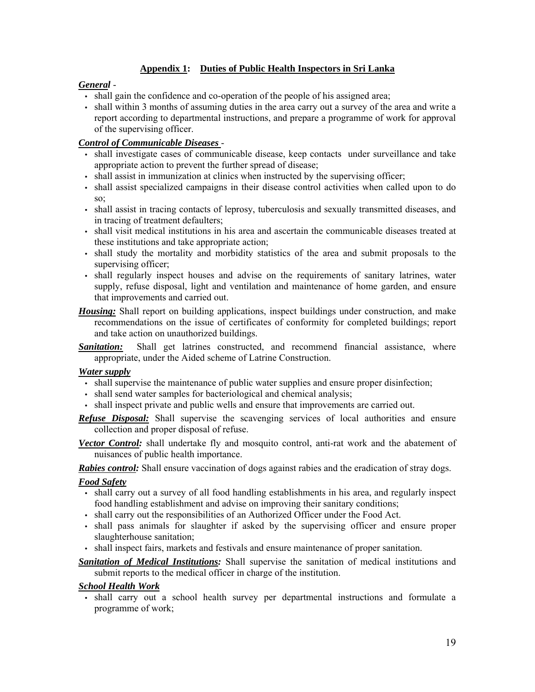#### **Appendix 1: Duties of Public Health Inspectors in Sri Lanka**

#### *General* -

- shall gain the confidence and co-operation of the people of his assigned area;
- shall within 3 months of assuming duties in the area carry out a survey of the area and write a report according to departmental instructions, and prepare a programme of work for approval of the supervising officer.

#### *Control of Communicable Diseases* -

- shall investigate cases of communicable disease, keep contacts under surveillance and take appropriate action to prevent the further spread of disease;
- shall assist in immunization at clinics when instructed by the supervising officer;
- shall assist specialized campaigns in their disease control activities when called upon to do so;
- shall assist in tracing contacts of leprosy, tuberculosis and sexually transmitted diseases, and in tracing of treatment defaulters;
- shall visit medical institutions in his area and ascertain the communicable diseases treated at these institutions and take appropriate action;
- shall study the mortality and morbidity statistics of the area and submit proposals to the supervising officer;
- shall regularly inspect houses and advise on the requirements of sanitary latrines, water supply, refuse disposal, light and ventilation and maintenance of home garden, and ensure that improvements and carried out.
- *Housing:* Shall report on building applications, inspect buildings under construction, and make recommendations on the issue of certificates of conformity for completed buildings; report and take action on unauthorized buildings.

**Sanitation:** Shall get latrines constructed, and recommend financial assistance, where appropriate, under the Aided scheme of Latrine Construction.

#### *Water supply*

- shall supervise the maintenance of public water supplies and ensure proper disinfection;
- shall send water samples for bacteriological and chemical analysis;
- shall inspect private and public wells and ensure that improvements are carried out.

*Refuse Disposal:* Shall supervise the scavenging services of local authorities and ensure collection and proper disposal of refuse.

*Vector Control:* shall undertake fly and mosquito control, anti-rat work and the abatement of nuisances of public health importance.

*Rabies control:* Shall ensure vaccination of dogs against rabies and the eradication of stray dogs.

#### *Food Safety*

- shall carry out a survey of all food handling establishments in his area, and regularly inspect food handling establishment and advise on improving their sanitary conditions;
- shall carry out the responsibilities of an Authorized Officer under the Food Act.
- shall pass animals for slaughter if asked by the supervising officer and ensure proper slaughterhouse sanitation;
- shall inspect fairs, markets and festivals and ensure maintenance of proper sanitation.

*Sanitation of Medical Institutions:* Shall supervise the sanitation of medical institutions and submit reports to the medical officer in charge of the institution.

#### *School Health Work*

• shall carry out a school health survey per departmental instructions and formulate a programme of work;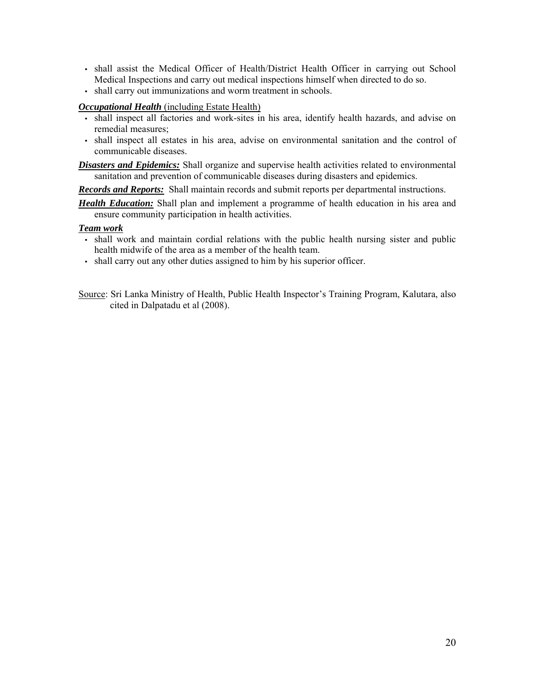- shall assist the Medical Officer of Health/District Health Officer in carrying out School Medical Inspections and carry out medical inspections himself when directed to do so.
- shall carry out immunizations and worm treatment in schools.

*Occupational Health* (including Estate Health)

- shall inspect all factories and work-sites in his area, identify health hazards, and advise on remedial measures;
- shall inspect all estates in his area, advise on environmental sanitation and the control of communicable diseases.

*Disasters and Epidemics:* Shall organize and supervise health activities related to environmental sanitation and prevention of communicable diseases during disasters and epidemics.

*Records and Reports:* Shall maintain records and submit reports per departmental instructions.

*Health Education:* Shall plan and implement a programme of health education in his area and ensure community participation in health activities.

#### *Team work*

- shall work and maintain cordial relations with the public health nursing sister and public health midwife of the area as a member of the health team.
- shall carry out any other duties assigned to him by his superior officer.

Source: Sri Lanka Ministry of Health, Public Health Inspector's Training Program, Kalutara, also cited in Dalpatadu et al (2008).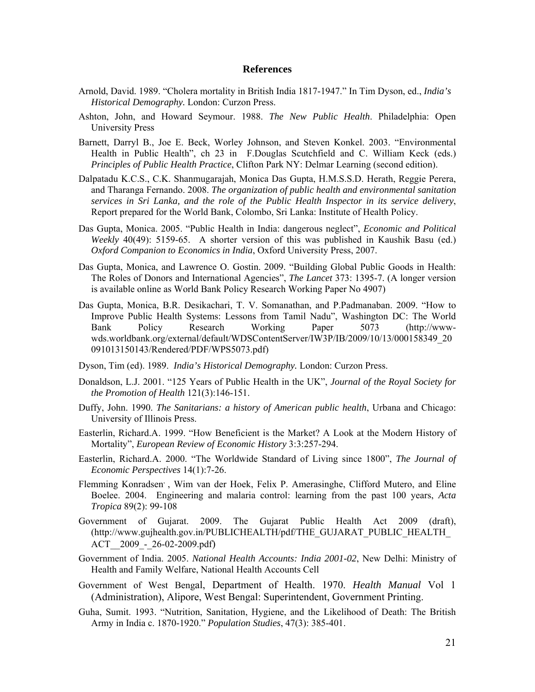#### **References**

- Arnold, David. 1989. "Cholera mortality in British India 1817-1947." In Tim Dyson, ed., *India's Historical Demography.* London: Curzon Press.
- Ashton, John, and Howard Seymour. 1988. *The New Public Health*. Philadelphia: Open University Press
- Barnett, Darryl B., Joe E. Beck, Worley Johnson, and Steven Konkel. 2003. "Environmental Health in Public Health", ch 23 in F.Douglas Scutchfield and C. William Keck (eds.) *Principles of Public Health Practice*, Clifton Park NY: Delmar Learning (second edition).
- Dalpatadu K.C.S., C.K. Shanmugarajah, Monica Das Gupta, H.M.S.S.D. Herath, Reggie Perera, and Tharanga Fernando. 2008. *The organization of public health and environmental sanitation services in Sri Lanka, and the role of the Public Health Inspector in its service delivery*, Report prepared for the World Bank, Colombo, Sri Lanka: Institute of Health Policy.
- Das Gupta, Monica. 2005. "Public Health in India: dangerous neglect", *Economic and Political Weekly* 40(49): 5159-65. A shorter version of this was published in Kaushik Basu (ed.) *Oxford Companion to Economics in India*, Oxford University Press, 2007.
- Das Gupta, Monica, and Lawrence O. Gostin. 2009. "Building Global Public Goods in Health: The Roles of Donors and International Agencies", *The Lancet* 373: 1395-7. (A longer version is available online as World Bank Policy Research Working Paper No 4907)
- Das Gupta, Monica, B.R. Desikachari, T. V. Somanathan, and P.Padmanaban. 2009. "How to Improve Public Health Systems: Lessons from Tamil Nadu", Washington DC: The World Bank Policy Research Working Paper 5073 (http://wwwwds.worldbank.org/external/default/WDSContentServer/IW3P/IB/2009/10/13/000158349\_20 091013150143/Rendered/PDF/WPS5073.pdf)
- Dyson, Tim (ed). 1989. *India's Historical Demography.* London: Curzon Press.
- Donaldson, L.J. 2001. "125 Years of Public Health in the UK", *Journal of the Royal Society for the Promotion of Health* 121(3):146-151.
- Duffy, John. 1990. *The Sanitarians: a history of American public health*, Urbana and Chicago: University of Illinois Press.
- Easterlin, Richard.A. 1999. "How Beneficient is the Market? A Look at the Modern History of Mortality", *European Review of Economic History* 3:3:257-294.
- Easterlin, Richard.A. 2000. "The Worldwide Standard of Living since 1800", *The Journal of Economic Perspectives* 14(1):7-26.
- Flemming Konradsen, , Wim van der Hoek, Felix P. Amerasinghe, Clifford Mutero, and Eline Boelee. 2004. Engineering and malaria control: learning from the past 100 years, *Acta Tropica* 89(2): 99-108
- Government of Gujarat. 2009. The Gujarat Public Health Act 2009 (draft), (http://www.gujhealth.gov.in/PUBLICHEALTH/pdf/THE\_GUJARAT\_PUBLIC\_HEALTH\_ ACT 2009 - 26-02-2009.pdf)
- Government of India. 2005. *National Health Accounts: India 2001-02*, New Delhi: Ministry of Health and Family Welfare, National Health Accounts Cell
- Government of West Bengal, Department of Health. 1970. *Health Manual* Vol 1 (Administration), Alipore, West Bengal: Superintendent, Government Printing.
- Guha, Sumit. 1993. "Nutrition, Sanitation, Hygiene, and the Likelihood of Death: The British Army in India c. 1870-1920." *Population Studies*, 47(3): 385-401.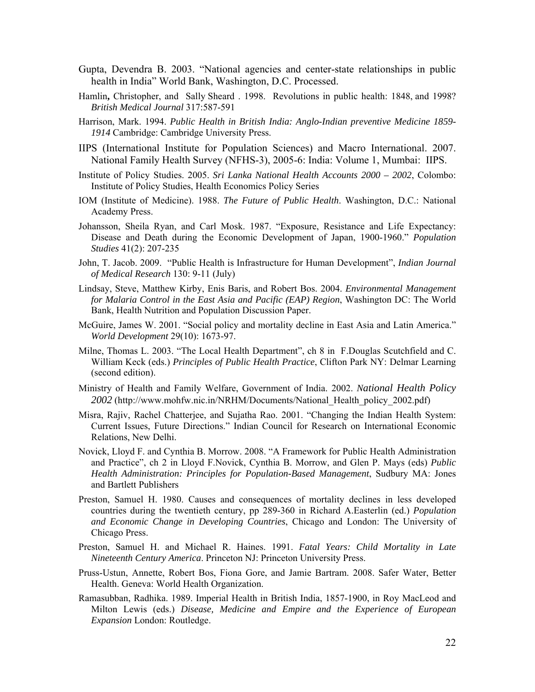- Gupta, Devendra B. 2003. "National agencies and center-state relationships in public health in India" World Bank, Washington, D.C. Processed.
- Hamlin**,** Christopher, and Sally Sheard . 1998. Revolutions in public health: 1848, and 1998? *British Medical Journal* 317:587-591
- Harrison, Mark. 1994. *Public Health in British India: Anglo-Indian preventive Medicine 1859- 1914* Cambridge: Cambridge University Press.
- IIPS (International Institute for Population Sciences) and Macro International. 2007. National Family Health Survey (NFHS-3), 2005-6: India: Volume 1, Mumbai: IIPS.
- Institute of Policy Studies. 2005. *Sri Lanka National Health Accounts 2000 2002*, Colombo: Institute of Policy Studies, Health Economics Policy Series
- IOM (Institute of Medicine). 1988. *The Future of Public Health*. Washington, D.C.: National Academy Press.
- Johansson, Sheila Ryan, and Carl Mosk. 1987. "Exposure, Resistance and Life Expectancy: Disease and Death during the Economic Development of Japan, 1900-1960." *Population Studies* 41(2): 207-235
- John, T. Jacob. 2009. "Public Health is Infrastructure for Human Development", *Indian Journal of Medical Research* 130: 9-11 (July)
- Lindsay, Steve, Matthew Kirby, Enis Baris, and Robert Bos. 2004. *Environmental Management for Malaria Control in the East Asia and Pacific (EAP) Region*, Washington DC: The World Bank, Health Nutrition and Population Discussion Paper.
- McGuire, James W. 2001. "Social policy and mortality decline in East Asia and Latin America." *World Development* 29(10): 1673-97.
- Milne, Thomas L. 2003. "The Local Health Department", ch 8 in F.Douglas Scutchfield and C. William Keck (eds.) *Principles of Public Health Practice*, Clifton Park NY: Delmar Learning (second edition).
- Ministry of Health and Family Welfare, Government of India. 2002. *National Health Policy 2002* (http://www.mohfw.nic.in/NRHM/Documents/National\_Health\_policy\_2002.pdf)
- Misra, Rajiv, Rachel Chatterjee, and Sujatha Rao. 2001. "Changing the Indian Health System: Current Issues, Future Directions." Indian Council for Research on International Economic Relations, New Delhi.
- Novick, Lloyd F. and Cynthia B. Morrow. 2008. "A Framework for Public Health Administration and Practice", ch 2 in Lloyd F.Novick, Cynthia B. Morrow, and Glen P. Mays (eds) *Public Health Administration: Principles for Population-Based Management*, Sudbury MA: Jones and Bartlett Publishers
- Preston, Samuel H. 1980. Causes and consequences of mortality declines in less developed countries during the twentieth century, pp 289-360 in Richard A.Easterlin (ed.) *Population and Economic Change in Developing Countries*, Chicago and London: The University of Chicago Press.
- Preston, Samuel H. and Michael R. Haines. 1991. *Fatal Years: Child Mortality in Late Nineteenth Century America*. Princeton NJ: Princeton University Press.
- Pruss-Ustun, Annette, Robert Bos, Fiona Gore, and Jamie Bartram. 2008. Safer Water, Better Health. Geneva: World Health Organization.
- Ramasubban, Radhika. 1989. Imperial Health in British India, 1857-1900, in Roy MacLeod and Milton Lewis (eds.) *Disease, Medicine and Empire and the Experience of European Expansion* London: Routledge.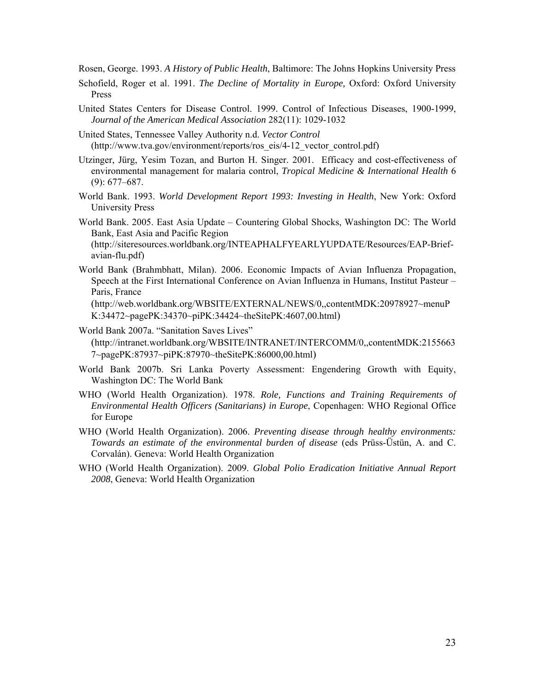Rosen, George. 1993. *A History of Public Health*, Baltimore: The Johns Hopkins University Press

- Schofield, Roger et al. 1991. *The Decline of Mortality in Europe,* Oxford: Oxford University Press
- United States Centers for Disease Control. 1999. Control of Infectious Diseases, 1900-1999, *Journal of the American Medical Association* 282(11): 1029-1032
- United States, Tennessee Valley Authority n.d. *Vector Control* (http://www.tva.gov/environment/reports/ros\_eis/4-12\_vector\_control.pdf)
- Utzinger, Jürg, Yesim Tozan, and Burton H. Singer. 2001. Efficacy and cost-effectiveness of environmental management for malaria control, *Tropical Medicine & International Health* 6 (9): 677–687.
- World Bank. 1993. *World Development Report 1993: Investing in Health*, New York: Oxford University Press
- World Bank. 2005. East Asia Update Countering Global Shocks, Washington DC: The World Bank, East Asia and Pacific Region (http://siteresources.worldbank.org/INTEAPHALFYEARLYUPDATE/Resources/EAP-Brief-

avian-flu.pdf)

World Bank (Brahmbhatt, Milan). 2006. Economic Impacts of Avian Influenza Propagation, Speech at the First International Conference on Avian Influenza in Humans, Institut Pasteur – Paris, France

(http://web.worldbank.org/WBSITE/EXTERNAL/NEWS/0,,contentMDK:20978927~menuP K:34472~pagePK:34370~piPK:34424~theSitePK:4607,00.html)

World Bank 2007a. "Sanitation Saves Lives"

(http://intranet.worldbank.org/WBSITE/INTRANET/INTERCOMM/0,,contentMDK:2155663 7~pagePK:87937~piPK:87970~theSitePK:86000,00.html)

- World Bank 2007b. Sri Lanka Poverty Assessment: Engendering Growth with Equity, Washington DC: The World Bank
- WHO (World Health Organization). 1978. *Role, Functions and Training Requirements of Environmental Health Officers (Sanitarians) in Europe*, Copenhagen: WHO Regional Office for Europe
- WHO (World Health Organization). 2006. *Preventing disease through healthy environments: Towards an estimate of the environmental burden of disease* (eds Prüss-Üstün, A. and C. Corvalán). Geneva: World Health Organization
- WHO (World Health Organization). 2009. *Global Polio Eradication Initiative Annual Report 2008*, Geneva: World Health Organization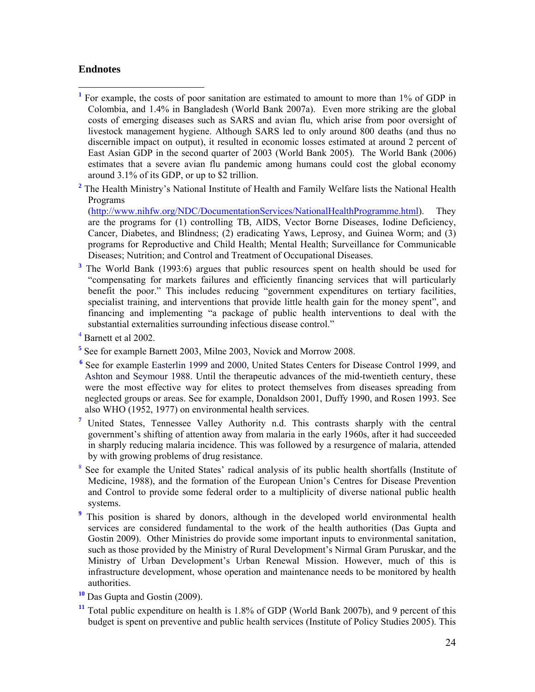#### **Endnotes**

1

- <sup>1</sup> For example, the costs of poor sanitation are estimated to amount to more than 1% of GDP in Colombia, and 1.4% in Bangladesh (World Bank 2007a). Even more striking are the global costs of emerging diseases such as SARS and avian flu, which arise from poor oversight of livestock management hygiene. Although SARS led to only around 800 deaths (and thus no discernible impact on output), it resulted in economic losses estimated at around 2 percent of East Asian GDP in the second quarter of 2003 (World Bank 2005). The World Bank (2006) estimates that a severe avian flu pandemic among humans could cost the global economy around 3.1% of its GDP, or up to \$2 trillion.
- <sup>2</sup> The Health Ministry's National Institute of Health and Family Welfare lists the National Health Programs

(http://www.nihfw.org/NDC/DocumentationServices/NationalHealthProgramme.html). They are the programs for (1) controlling TB, AIDS, Vector Borne Diseases, Iodine Deficiency, Cancer, Diabetes, and Blindness; (2) eradicating Yaws, Leprosy, and Guinea Worm; and (3) programs for Reproductive and Child Health; Mental Health; Surveillance for Communicable Diseases; Nutrition; and Control and Treatment of Occupational Diseases.

- **3** The World Bank (1993:6) argues that public resources spent on health should be used for "compensating for markets failures and efficiently financing services that will particularly benefit the poor." This includes reducing "government expenditures on tertiary facilities, specialist training, and interventions that provide little health gain for the money spent", and financing and implementing "a package of public health interventions to deal with the substantial externalities surrounding infectious disease control."
- 4 Barnett et al 2002.
- <sup>5</sup> See for example Barnett 2003, Milne 2003, Novick and Morrow 2008.
- <sup>6</sup> See for example Easterlin 1999 and 2000, United States Centers for Disease Control 1999, and Ashton and Seymour 1988. Until the therapeutic advances of the mid-twentieth century, these were the most effective way for elites to protect themselves from diseases spreading from neglected groups or areas. See for example, Donaldson 2001, Duffy 1990, and Rosen 1993. See also WHO (1952, 1977) on environmental health services.
	- **7** United States, Tennessee Valley Authority n.d. This contrasts sharply with the central government's shifting of attention away from malaria in the early 1960s, after it had succeeded in sharply reducing malaria incidence. This was followed by a resurgence of malaria, attended by with growing problems of drug resistance.
	- 8 See for example the United States' radical analysis of its public health shortfalls (Institute of Medicine, 1988), and the formation of the European Union's Centres for Disease Prevention and Control to provide some federal order to a multiplicity of diverse national public health systems.
	- **9** This position is shared by donors, although in the developed world environmental health services are considered fundamental to the work of the health authorities (Das Gupta and Gostin 2009). Other Ministries do provide some important inputs to environmental sanitation, such as those provided by the Ministry of Rural Development's Nirmal Gram Puruskar, and the Ministry of Urban Development's Urban Renewal Mission. However, much of this is infrastructure development, whose operation and maintenance needs to be monitored by health authorities.
- **<sup>10</sup>** Das Gupta and Gostin (2009).
- **<sup>11</sup>** Total public expenditure on health is 1.8% of GDP (World Bank 2007b), and 9 percent of this budget is spent on preventive and public health services (Institute of Policy Studies 2005). This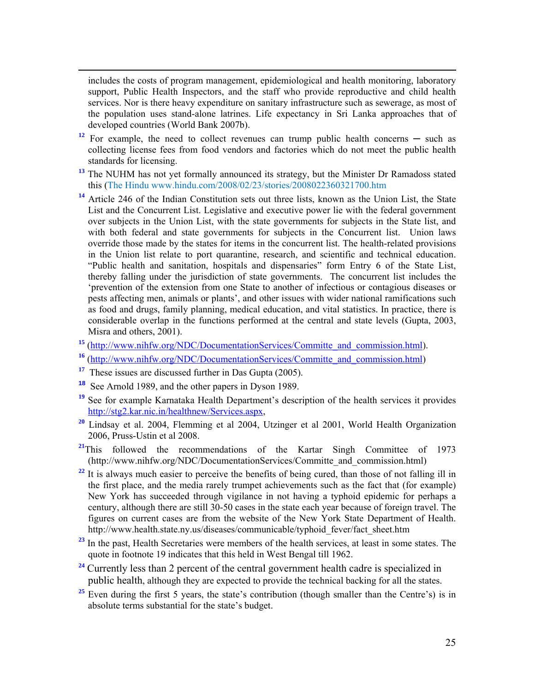includes the costs of program management, epidemiological and health monitoring, laboratory support, Public Health Inspectors, and the staff who provide reproductive and child health services. Nor is there heavy expenditure on sanitary infrastructure such as sewerage, as most of the population uses stand-alone latrines. Life expectancy in Sri Lanka approaches that of developed countries (World Bank 2007b).

- <sup>12</sup> For example, the need to collect revenues can trump public health concerns  $-$  such as collecting license fees from food vendors and factories which do not meet the public health standards for licensing.
- <sup>13</sup> The NUHM has not yet formally announced its strategy, but the Minister Dr Ramadoss stated this (The Hindu www.hindu.com/2008/02/23/stories/2008022360321700.htm
- **<sup>14</sup>** Article 246 of the Indian Constitution sets out three lists, known as the Union List, the State List and the Concurrent List. Legislative and executive power lie with the federal government over subjects in the Union List, with the state governments for subjects in the State list, and with both federal and state governments for subjects in the Concurrent list. Union laws override those made by the states for items in the concurrent list. The health-related provisions in the Union list relate to port quarantine, research, and scientific and technical education. "Public health and sanitation, hospitals and dispensaries" form Entry 6 of the State List, thereby falling under the jurisdiction of state governments. The concurrent list includes the 'prevention of the extension from one State to another of infectious or contagious diseases or pests affecting men, animals or plants', and other issues with wider national ramifications such as food and drugs, family planning, medical education, and vital statistics. In practice, there is considerable overlap in the functions performed at the central and state levels (Gupta, 2003, Misra and others, 2001).
- **<sup>15</sup>** (http://www.nihfw.org/NDC/DocumentationServices/Committe\_and\_commission.html).
- **<sup>16</sup>** (http://www.nihfw.org/NDC/DocumentationServices/Committe\_and\_commission.html)
- **<sup>17</sup>** These issues are discussed further in Das Gupta (2005).

1

- **<sup>18</sup>** See Arnold 1989, and the other papers in Dyson 1989.
- <sup>19</sup> See for example Karnataka Health Department's description of the health services it provides http://stg2.kar.nic.in/healthnew/Services.aspx,
- **<sup>20</sup>** Lindsay et al. 2004, Flemming et al 2004, Utzinger et al 2001, World Health Organization 2006, Pruss-Ustin et al 2008.
- <sup>21</sup>This followed the recommendations of the Kartar Singh Committee of 1973 (http://www.nihfw.org/NDC/DocumentationServices/Committe\_and\_commission.html)
- <sup>22</sup> It is always much easier to perceive the benefits of being cured, than those of not falling ill in the first place, and the media rarely trumpet achievements such as the fact that (for example) New York has succeeded through vigilance in not having a typhoid epidemic for perhaps a century, although there are still 30-50 cases in the state each year because of foreign travel. The figures on current cases are from the website of the New York State Department of Health. http://www.health.state.ny.us/diseases/communicable/typhoid\_fever/fact\_sheet.htm
- <sup>23</sup> In the past, Health Secretaries were members of the health services, at least in some states. The quote in footnote 19 indicates that this held in West Bengal till 1962.
- <sup>24</sup> Currently less than 2 percent of the central government health cadre is specialized in public health, although they are expected to provide the technical backing for all the states.
- <sup>25</sup> Even during the first 5 years, the state's contribution (though smaller than the Centre's) is in absolute terms substantial for the state's budget.